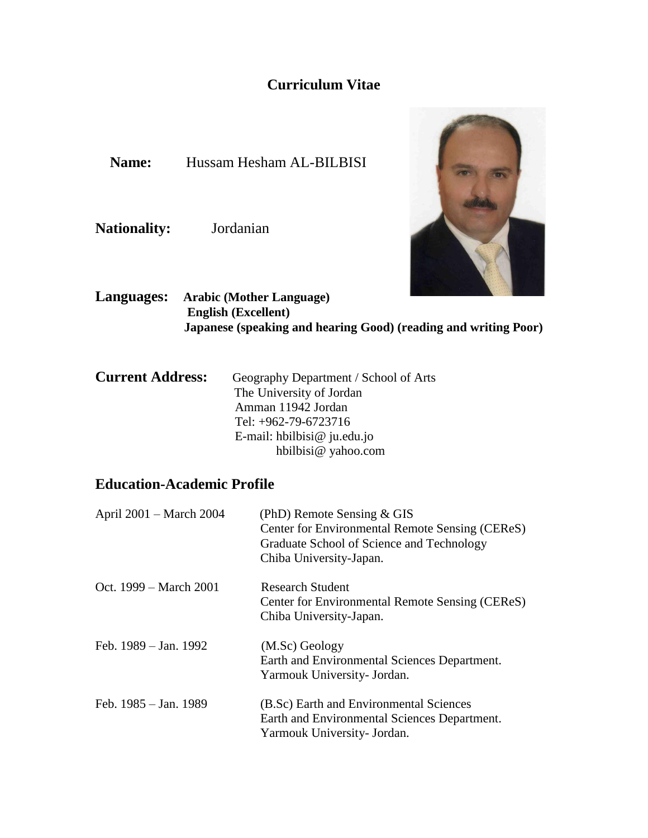# **Curriculum Vitae**

**Name:** Hussam Hesham AL-BILBISI

**Nationality:** Jordanian



**Languages: Arabic (Mother Language) English (Excellent) Japanese (speaking and hearing Good) (reading and writing Poor)**

| Geography Department / School of Arts |
|---------------------------------------|
| The University of Jordan              |
| Amman 11942 Jordan                    |
| Tel: +962-79-6723716                  |
| E-mail: hbilbisi@ $ju.edu.io$         |
| hbilbisi@ yahoo.com                   |
|                                       |

# **Education-Academic Profile**

| April 2001 – March 2004 | (PhD) Remote Sensing $& GIS$<br>Center for Environmental Remote Sensing (CEReS)<br>Graduate School of Science and Technology<br>Chiba University-Japan. |
|-------------------------|---------------------------------------------------------------------------------------------------------------------------------------------------------|
| Oct. 1999 – March 2001  | Research Student<br>Center for Environmental Remote Sensing (CEReS)<br>Chiba University-Japan.                                                          |
| Feb. 1989 – Jan. 1992   | (M.Sc) Geology<br>Earth and Environmental Sciences Department.<br>Yarmouk University- Jordan.                                                           |
| Feb. 1985 – Jan. 1989   | (B.Sc) Earth and Environmental Sciences<br>Earth and Environmental Sciences Department.<br>Yarmouk University- Jordan.                                  |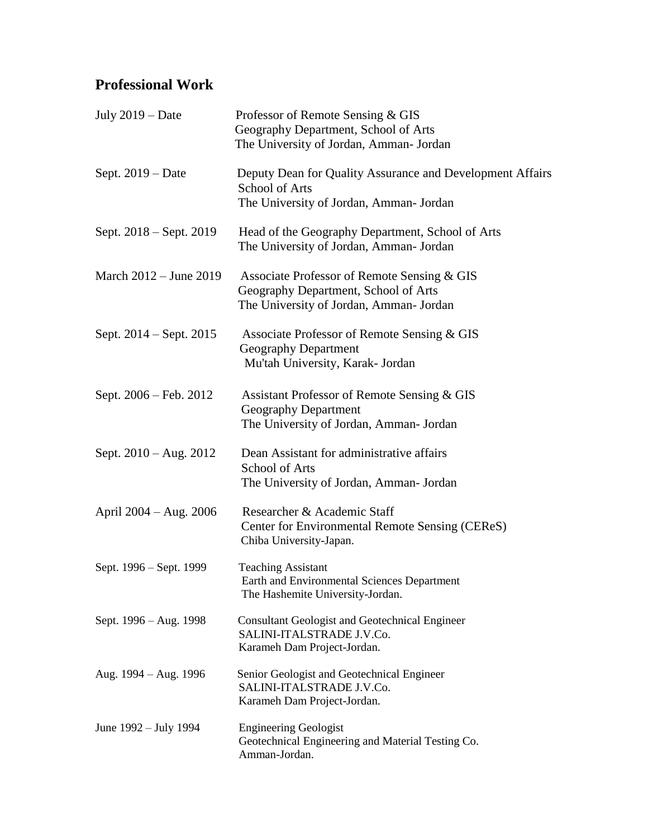# **Professional Work**

| July $2019 - Date$       | Professor of Remote Sensing & GIS<br>Geography Department, School of Arts<br>The University of Jordan, Amman- Jordan           |
|--------------------------|--------------------------------------------------------------------------------------------------------------------------------|
| Sept. 2019 – Date        | Deputy Dean for Quality Assurance and Development Affairs<br><b>School of Arts</b><br>The University of Jordan, Amman- Jordan  |
| Sept. 2018 – Sept. 2019  | Head of the Geography Department, School of Arts<br>The University of Jordan, Amman- Jordan                                    |
| March 2012 - June 2019   | Associate Professor of Remote Sensing & GIS<br>Geography Department, School of Arts<br>The University of Jordan, Amman- Jordan |
| Sept. 2014 – Sept. 2015  | Associate Professor of Remote Sensing & GIS<br><b>Geography Department</b><br>Mu'tah University, Karak- Jordan                 |
| Sept. 2006 – Feb. 2012   | Assistant Professor of Remote Sensing & GIS<br><b>Geography Department</b><br>The University of Jordan, Amman- Jordan          |
| Sept. $2010 - Aug. 2012$ | Dean Assistant for administrative affairs<br>School of Arts<br>The University of Jordan, Amman- Jordan                         |
| April 2004 – Aug. 2006   | Researcher & Academic Staff<br>Center for Environmental Remote Sensing (CEReS)<br>Chiba University-Japan.                      |
| Sept. 1996 - Sept. 1999  | <b>Teaching Assistant</b><br>Earth and Environmental Sciences Department<br>The Hashemite University-Jordan.                   |
| Sept. 1996 – Aug. 1998   | <b>Consultant Geologist and Geotechnical Engineer</b><br>SALINI-ITALSTRADE J.V.Co.<br>Karameh Dam Project-Jordan.              |
| Aug. 1994 – Aug. 1996    | Senior Geologist and Geotechnical Engineer<br>SALINI-ITALSTRADE J.V.Co.<br>Karameh Dam Project-Jordan.                         |
| June 1992 – July 1994    | <b>Engineering Geologist</b><br>Geotechnical Engineering and Material Testing Co.<br>Amman-Jordan.                             |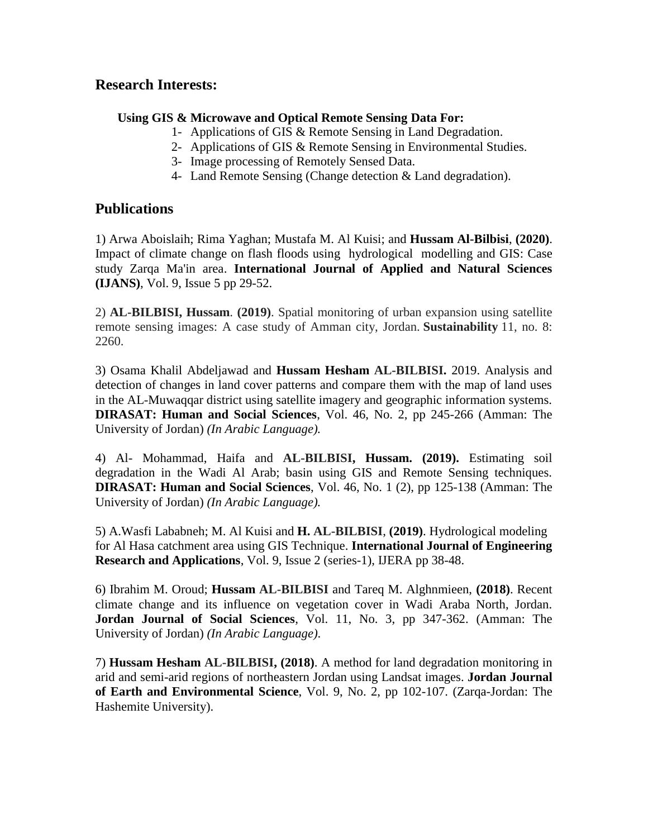## **Research Interests:**

### **Using GIS & Microwave and Optical Remote Sensing Data For:**

- 1- Applications of GIS & Remote Sensing in Land Degradation.
- 2- Applications of GIS & Remote Sensing in Environmental Studies.
- 3- Image processing of Remotely Sensed Data.
- 4- Land Remote Sensing (Change detection & Land degradation).

## **Publications**

1) Arwa [Aboislaih;](https://www.researchgate.net/profile/Arwa_Aboislaih) Rima [Yaghan;](https://www.researchgate.net/scientific-contributions/Rima-Yaghan-2180085556) [Mustafa](https://www.researchgate.net/profile/Mustafa_Al_Kuisi) M. Al Kuisi; and **Hussam [Al-Bilbisi](https://www.researchgate.net/profile/Hussam_Al-Bilbisi)**, **(2020)**. Impact of climate change on flash floods using hydrological modelling and GIS: Case study Zarqa Ma'in area. **International Journal of Applied and Natural Sciences (IJANS)**, Vol. 9, Issue 5 pp 29-52.

2) **AL-BILBISI, Hussam**. **(2019)**. Spatial monitoring of urban expansion using satellite remote sensing images: A case study of Amman city, Jordan. **Sustainability** 11, no. 8: 2260.

3) Osama Khalil Abdeljawad and **Hussam Hesham AL-BILBISI.** 2019. Analysis and detection of changes in land cover patterns and compare them with the map of land uses in the AL-Muwaqqar district using satellite imagery and geographic information systems. **DIRASAT: Human and Social Sciences**, Vol. 46, No. 2, pp 245-266 (Amman: The University of Jordan) *(In Arabic Language).*

4) Al- Mohammad, Haifa and **AL-BILBISI, Hussam. (2019).** Estimating soil degradation in the Wadi Al Arab; basin using GIS and Remote Sensing techniques. **DIRASAT: Human and Social Sciences**, Vol. 46, No. 1 (2), pp 125-138 (Amman: The University of Jordan) *(In Arabic Language).*

5) A.Wasfi Lababneh; M. Al Kuisi and **H. AL-BILBISI**, **(2019)**. Hydrological modeling for Al Hasa catchment area using GIS Technique. **International Journal of Engineering Research and Applications**, Vol. 9, Issue 2 (series-1), IJERA pp 38-48.

6) Ibrahim M. Oroud; **Hussam AL-BILBISI** and Tareq M. Alghnmieen, **(2018)**. Recent climate change and its influence on vegetation cover in Wadi Araba North, Jordan. **Jordan Journal of Social Sciences**, Vol. 11, No. 3, pp 347-362. (Amman: The University of Jordan) *(In Arabic Language)*.

7) **Hussam Hesham AL-BILBISI, (2018)**. A method for land degradation monitoring in arid and semi-arid regions of northeastern Jordan using Landsat images. **Jordan Journal of Earth and Environmental Science**, Vol. 9, No. 2, pp 102-107. (Zarqa-Jordan: The Hashemite University).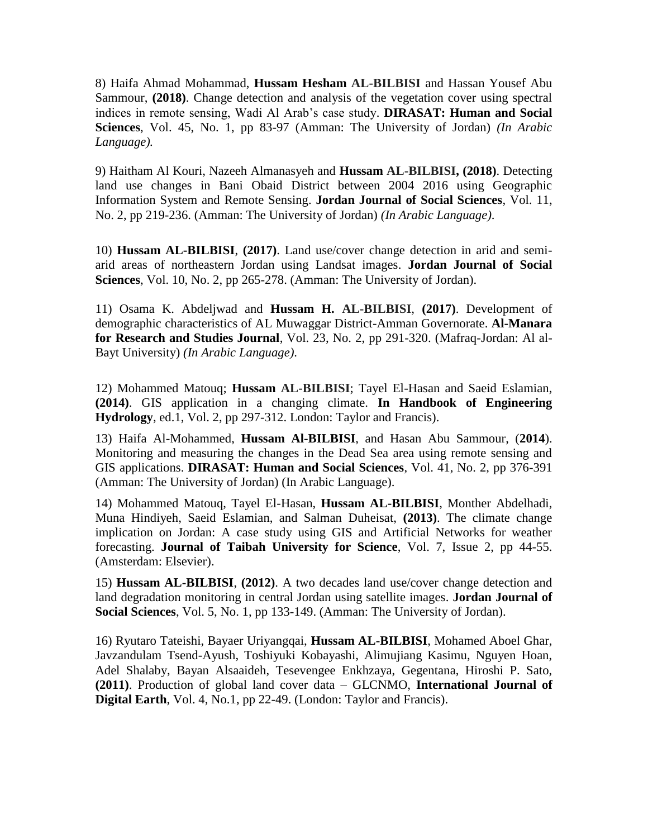8) Haifa Ahmad Mohammad, **Hussam Hesham AL-BILBISI** and Hassan Yousef Abu Sammour, **(2018)**. Change detection and analysis of the vegetation cover using spectral indices in remote sensing, Wadi Al Arab's case study. **DIRASAT: Human and Social Sciences**, Vol. 45, No. 1, pp 83-97 (Amman: The University of Jordan) *(In Arabic Language).*

9) Haitham Al Kouri, Nazeeh Almanasyeh and **Hussam AL-BILBISI, (2018)**. Detecting land use changes in Bani Obaid District between 2004 2016 using Geographic Information System and Remote Sensing. **Jordan Journal of Social Sciences**, Vol. 11, No. 2, pp 219-236. (Amman: The University of Jordan) *(In Arabic Language)*.

10) **Hussam AL-BILBISI**, **(2017)**. Land use/cover change detection in arid and semiarid areas of northeastern Jordan using Landsat images. **Jordan Journal of Social Sciences**, Vol. 10, No. 2, pp 265-278. (Amman: The University of Jordan).

11) Osama K. Abdeljwad and **Hussam H. AL-BILBISI**, **(2017)**. Development of demographic characteristics of AL Muwaggar District-Amman Governorate. **Al-Manara for Research and Studies Journal**, Vol. 23, No. 2, pp 291-320. (Mafraq-Jordan: Al al-Bayt University) *(In Arabic Language)*.

12) Mohammed Matouq; **Hussam AL-BILBISI**; Tayel El-Hasan and Saeid Eslamian, **(2014)**. GIS application in a changing climate. **In Handbook of Engineering Hydrology**, ed.1, Vol. 2, pp 297-312. London: Taylor and Francis).

13) Haifa Al-Mohammed, **Hussam Al-BILBISI**, and Hasan Abu Sammour, (**2014**). Monitoring and measuring the changes in the Dead Sea area using remote sensing and GIS applications. **DIRASAT: Human and Social Sciences**, Vol. 41, No. 2, pp 376-391 (Amman: The University of Jordan) (In Arabic Language).

14) Mohammed Matouq, Tayel El-Hasan, **Hussam AL-BILBISI**, Monther Abdelhadi, Muna Hindiyeh, Saeid Eslamian, and Salman Duheisat, **(2013)**. The climate change implication on Jordan: A case study using GIS and Artificial Networks for weather forecasting. **Journal of Taibah University for Science**, Vol. 7, Issue 2, pp 44-55. (Amsterdam: Elsevier).

15) **Hussam AL-BILBISI**, **(2012)**. A two decades land use/cover change detection and land degradation monitoring in central Jordan using satellite images. **Jordan Journal of Social Sciences**, Vol. 5, No. 1, pp 133-149. (Amman: The University of Jordan).

16) Ryutaro Tateishi, Bayaer Uriyangqai, **Hussam AL-BILBISI**, Mohamed Aboel Ghar, Javzandulam Tsend-Ayush, Toshiyuki Kobayashi, Alimujiang Kasimu, Nguyen Hoan, Adel Shalaby, Bayan Alsaaideh, Tesevengee Enkhzaya, Gegentana, Hiroshi P. Sato, **(2011)**. Production of global land cover data – GLCNMO, **International Journal of Digital Earth**, Vol. 4, No.1, pp 22-49. (London: Taylor and Francis).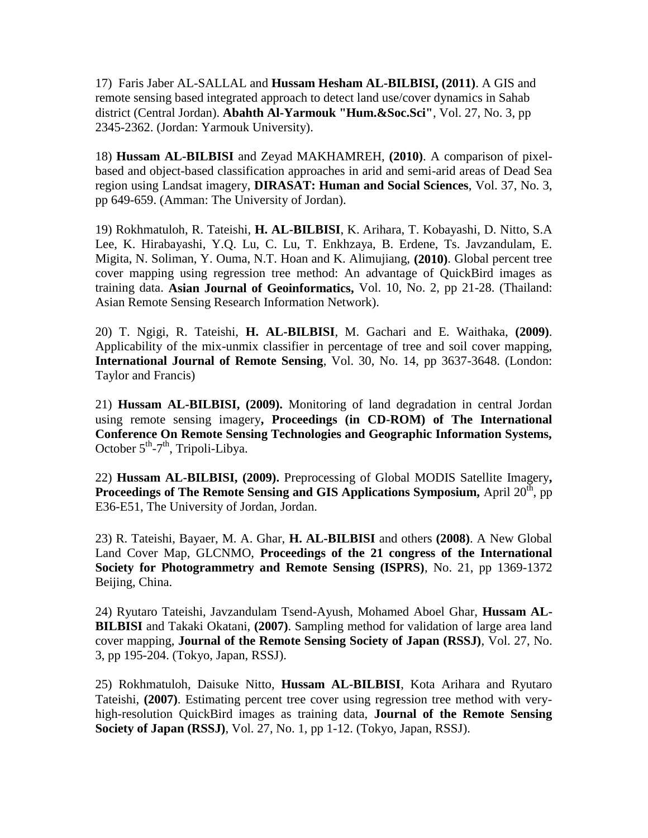17) Faris Jaber AL-SALLAL and **Hussam Hesham AL-BILBISI, (2011)**. A GIS and remote sensing based integrated approach to detect land use/cover dynamics in Sahab district (Central Jordan). **Abahth Al-Yarmouk "Hum.&Soc.Sci"**, Vol. 27, No. 3, pp 2345-2362. (Jordan: Yarmouk University).

18) **Hussam AL-BILBISI** and Zeyad MAKHAMREH, **(2010)**. A comparison of pixelbased and object-based classification approaches in arid and semi-arid areas of Dead Sea region using Landsat imagery, **DIRASAT: Human and Social Sciences**, Vol. 37, No. 3, pp 649-659. (Amman: The University of Jordan).

19) Rokhmatuloh, R. Tateishi, **H. AL-BILBISI**, K. Arihara, T. Kobayashi, D. Nitto, S.A Lee, K. Hirabayashi, Y.Q. Lu, C. Lu, T. Enkhzaya, B. Erdene, Ts. Javzandulam, E. Migita, N. Soliman, Y. Ouma, N.T. Hoan and K. Alimujiang, **(2010)**. Global percent tree cover mapping using regression tree method: An advantage of QuickBird images as training data. **Asian Journal of Geoinformatics,** Vol. 10, No. 2, pp 21-28. (Thailand: Asian Remote Sensing Research Information Network).

20) T. Ngigi, R. Tateishi, **H. AL-BILBISI**, M. Gachari and E. Waithaka, **(2009)**. Applicability of the mix-unmix classifier in percentage of tree and soil cover mapping, **International Journal of Remote Sensing**, Vol. 30, No. 14, pp 3637-3648. (London: Taylor and Francis)

21) **Hussam AL-BILBISI, (2009).** Monitoring of land degradation in central Jordan using remote sensing imagery**, Proceedings (in CD-ROM) of The International Conference On Remote Sensing Technologies and Geographic Information Systems,**  October  $5^{th}$ -7<sup>th</sup>, Tripoli-Libya.

22) **Hussam AL-BILBISI, (2009).** Preprocessing of Global MODIS Satellite Imagery**, Proceedings of The Remote Sensing and GIS Applications Symposium,** April 20<sup>th</sup>, pp E36-E51, The University of Jordan, Jordan.

23) R. Tateishi, Bayaer, M. A. Ghar, **H. AL-BILBISI** and others **(2008)**. A New Global Land Cover Map, GLCNMO, **Proceedings of the 21 congress of the International Society for Photogrammetry and Remote Sensing (ISPRS)**, No. 21, pp 1369-1372 Beijing, China.

24) Ryutaro Tateishi, Javzandulam Tsend-Ayush, Mohamed Aboel Ghar, **Hussam AL-BILBISI** and Takaki Okatani, **(2007)**. Sampling method for validation of large area land cover mapping, **Journal of the Remote Sensing Society of Japan (RSSJ)**, Vol. 27, No. 3, pp 195-204. (Tokyo, Japan, RSSJ).

25) Rokhmatuloh, Daisuke Nitto, **Hussam AL-BILBISI**, Kota Arihara and Ryutaro Tateishi, **(2007)**. Estimating percent tree cover using regression tree method with veryhigh-resolution QuickBird images as training data, **Journal of the Remote Sensing Society of Japan (RSSJ)**, Vol. 27, No. 1, pp 1-12. (Tokyo, Japan, RSSJ).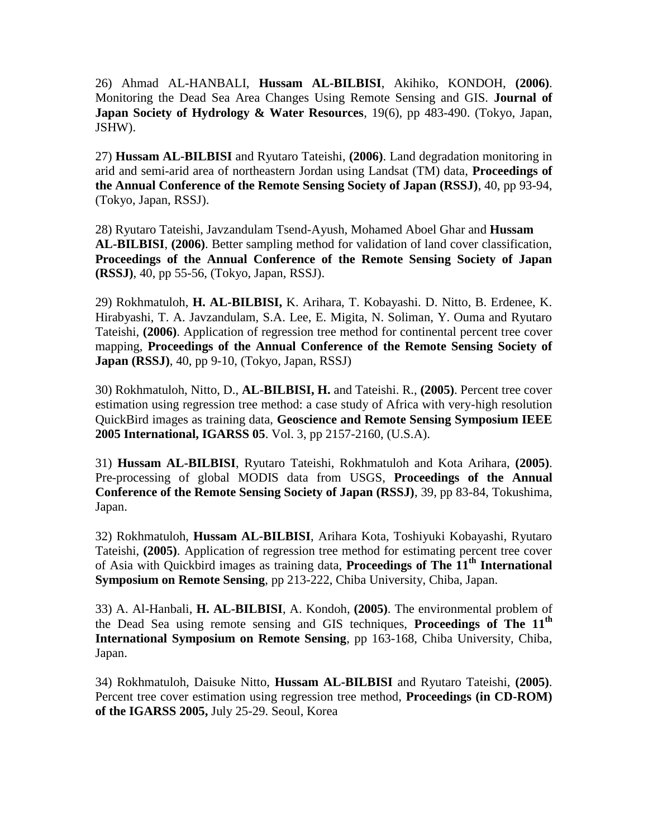26) Ahmad AL-HANBALI, **Hussam AL-BILBISI**, Akihiko, KONDOH, **(2006)**. Monitoring the Dead Sea Area Changes Using Remote Sensing and GIS. **Journal of Japan Society of Hydrology & Water Resources**, 19(6), pp 483-490. (Tokyo, Japan, JSHW).

27) **Hussam AL-BILBISI** and Ryutaro Tateishi, **(2006)**. Land degradation monitoring in arid and semi-arid area of northeastern Jordan using Landsat (TM) data, **Proceedings of the Annual Conference of the Remote Sensing Society of Japan (RSSJ)**, 40, pp 93-94, (Tokyo, Japan, RSSJ).

28) Ryutaro Tateishi, Javzandulam Tsend-Ayush, Mohamed Aboel Ghar and **Hussam AL-BILBISI**, **(2006)**. Better sampling method for validation of land cover classification, **Proceedings of the Annual Conference of the Remote Sensing Society of Japan (RSSJ)**, 40, pp 55-56, (Tokyo, Japan, RSSJ).

29) Rokhmatuloh, **H. AL-BILBISI,** K. Arihara, T. Kobayashi. D. Nitto, B. Erdenee, K. Hirabyashi, T. A. Javzandulam, S.A. Lee, E. Migita, N. Soliman, Y. Ouma and Ryutaro Tateishi, **(2006)**. Application of regression tree method for continental percent tree cover mapping, **Proceedings of the Annual Conference of the Remote Sensing Society of Japan (RSSJ)**, 40, pp 9-10, (Tokyo, Japan, RSSJ)

30) Rokhmatuloh, Nitto, D., **AL-BILBISI, H.** and Tateishi. R., **(2005)**. Percent tree cover estimation using regression tree method: a case study of Africa with very-high resolution QuickBird images as training data, **Geoscience and Remote Sensing Symposium IEEE 2005 International, IGARSS 05**. Vol. 3, pp 2157-2160, (U.S.A).

31) **Hussam AL-BILBISI**, Ryutaro Tateishi, Rokhmatuloh and Kota Arihara, **(2005)**. Pre-processing of global MODIS data from USGS, **Proceedings of the Annual Conference of the Remote Sensing Society of Japan (RSSJ)**, 39, pp 83-84, Tokushima, Japan.

32) Rokhmatuloh, **Hussam AL-BILBISI**, Arihara Kota, Toshiyuki Kobayashi, Ryutaro Tateishi, **(2005)**. Application of regression tree method for estimating percent tree cover of Asia with Quickbird images as training data, **Proceedings of The 11th International Symposium on Remote Sensing**, pp 213-222, Chiba University, Chiba, Japan.

33) A. Al-Hanbali, **H. AL-BILBISI**, A. Kondoh, **(2005)**. The environmental problem of the Dead Sea using remote sensing and GIS techniques, **Proceedings of The 11th International Symposium on Remote Sensing**, pp 163-168, Chiba University, Chiba, Japan.

34) Rokhmatuloh, Daisuke Nitto, **Hussam AL-BILBISI** and Ryutaro Tateishi, **(2005)**. Percent tree cover estimation using regression tree method, **Proceedings (in CD-ROM) of the IGARSS 2005,** July 25-29. Seoul, Korea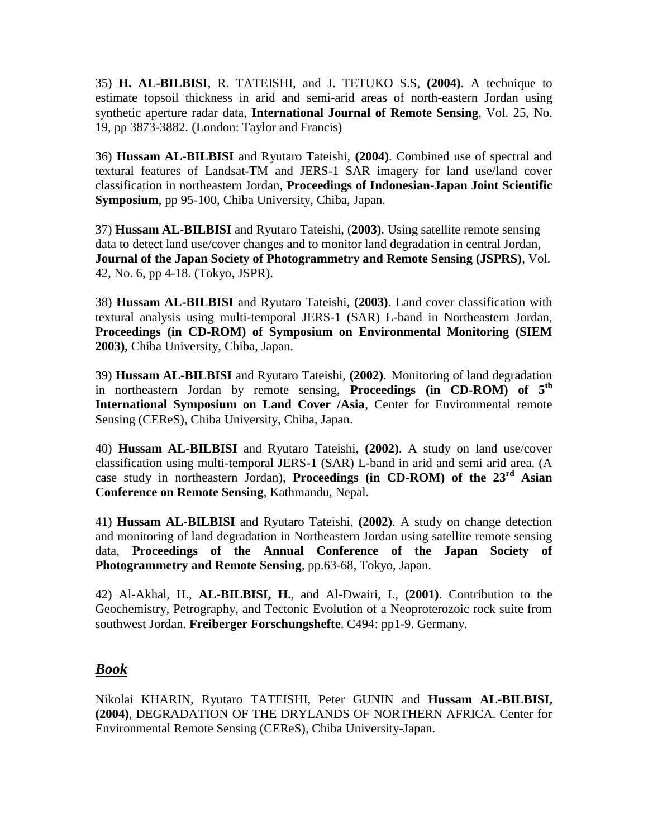35) **H. AL-BILBISI**, R. TATEISHI, and J. TETUKO S.S, **(2004)**. A technique to estimate topsoil thickness in arid and semi-arid areas of north-eastern Jordan using synthetic aperture radar data, **International Journal of Remote Sensing**, Vol. 25, No. 19, pp 3873-3882. (London: Taylor and Francis)

36) **Hussam AL-BILBISI** and Ryutaro Tateishi, **(2004)**. Combined use of spectral and textural features of Landsat-TM and JERS-1 SAR imagery for land use/land cover classification in northeastern Jordan, **Proceedings of Indonesian-Japan Joint Scientific Symposium**, pp 95-100, Chiba University, Chiba, Japan.

37) **Hussam AL-BILBISI** and Ryutaro Tateishi, (**2003)**. Using satellite remote sensing data to detect land use/cover changes and to monitor land degradation in central Jordan, **Journal of the Japan Society of Photogrammetry and Remote Sensing (JSPRS)**, Vol. 42, No. 6, pp 4-18. (Tokyo, JSPR).

38) **Hussam AL-BILBISI** and Ryutaro Tateishi, **(2003)**. Land cover classification with textural analysis using multi-temporal JERS-1 (SAR) L-band in Northeastern Jordan, **Proceedings (in CD-ROM) of Symposium on Environmental Monitoring (SIEM 2003),** Chiba University, Chiba, Japan.

39) **Hussam AL-BILBISI** and Ryutaro Tateishi, **(2002)**. Monitoring of land degradation in northeastern Jordan by remote sensing, **Proceedings (in CD-ROM) of 5th International Symposium on Land Cover /Asia**, Center for Environmental remote Sensing (CEReS), Chiba University, Chiba, Japan.

40) **Hussam AL-BILBISI** and Ryutaro Tateishi, **(2002)**. A study on land use/cover classification using multi-temporal JERS-1 (SAR) L-band in arid and semi arid area. (A case study in northeastern Jordan), **Proceedings (in CD-ROM) of the 23rd Asian Conference on Remote Sensing**, Kathmandu, Nepal.

41) **Hussam AL-BILBISI** and Ryutaro Tateishi, **(2002)**. A study on change detection and monitoring of land degradation in Northeastern Jordan using satellite remote sensing data, **Proceedings of the Annual Conference of the Japan Society of Photogrammetry and Remote Sensing**, pp.63-68, Tokyo, Japan.

42) Al-Akhal, H., **AL-BILBISI, H.**, and Al-Dwairi, I., **(2001)**. Contribution to the Geochemistry, Petrography, and Tectonic Evolution of a Neoproterozoic rock suite from southwest Jordan. **Freiberger Forschungshefte**. C494: pp1-9. Germany.

## *Book*

Nikolai KHARIN, Ryutaro TATEISHI, Peter GUNIN and **Hussam AL-BILBISI, (2004)**, DEGRADATION OF THE DRYLANDS OF NORTHERN AFRICA. Center for Environmental Remote Sensing (CEReS), Chiba University-Japan.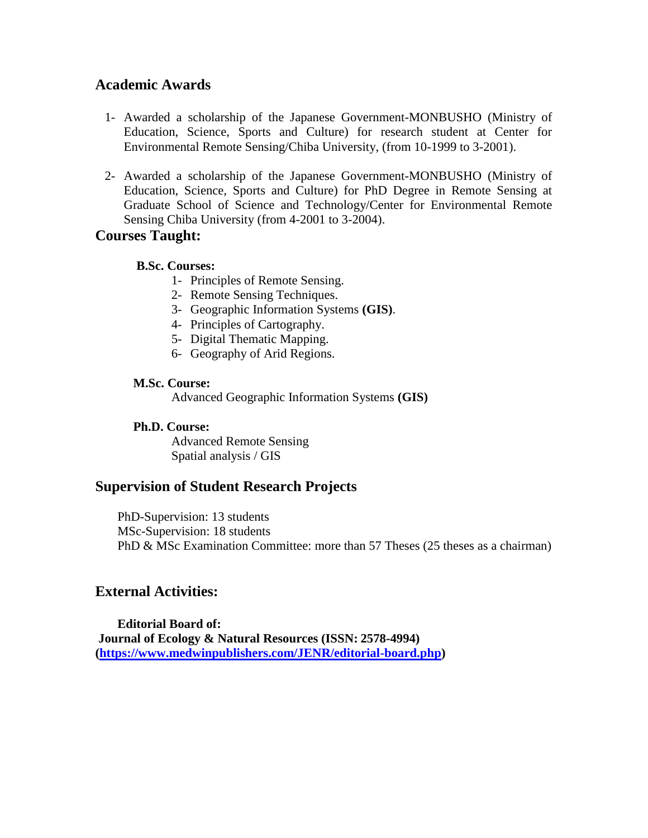### **Academic Awards**

- 1- Awarded a scholarship of the Japanese Government-MONBUSHO (Ministry of Education, Science, Sports and Culture) for research student at Center for Environmental Remote Sensing/Chiba University, (from 10-1999 to 3-2001).
- 2- Awarded a scholarship of the Japanese Government-MONBUSHO (Ministry of Education, Science, Sports and Culture) for PhD Degree in Remote Sensing at Graduate School of Science and Technology/Center for Environmental Remote Sensing Chiba University (from 4-2001 to 3-2004).

### **Courses Taught:**

#### **B.Sc. Courses:**

- 1- Principles of Remote Sensing.
- 2- Remote Sensing Techniques.
- 3- Geographic Information Systems **(GIS)**.
- 4- Principles of Cartography.
- 5- Digital Thematic Mapping.
- 6- Geography of Arid Regions.

#### **M.Sc. Course:**

Advanced Geographic Information Systems **(GIS)**

#### **Ph.D. Course:**

Advanced Remote Sensing Spatial analysis / GIS

### **Supervision of Student Research Projects**

 PhD-Supervision: 13 students MSc-Supervision: 18 students PhD & MSc Examination Committee: more than 57 Theses (25 theses as a chairman)

## **External Activities:**

 **Editorial Board of: Journal of Ecology & Natural Resources (ISSN: 2578-4994) [\(https://www.medwinpublishers.com/JENR/editorial-board.php\)](https://www.medwinpublishers.com/JENR/editorial-board.php)**